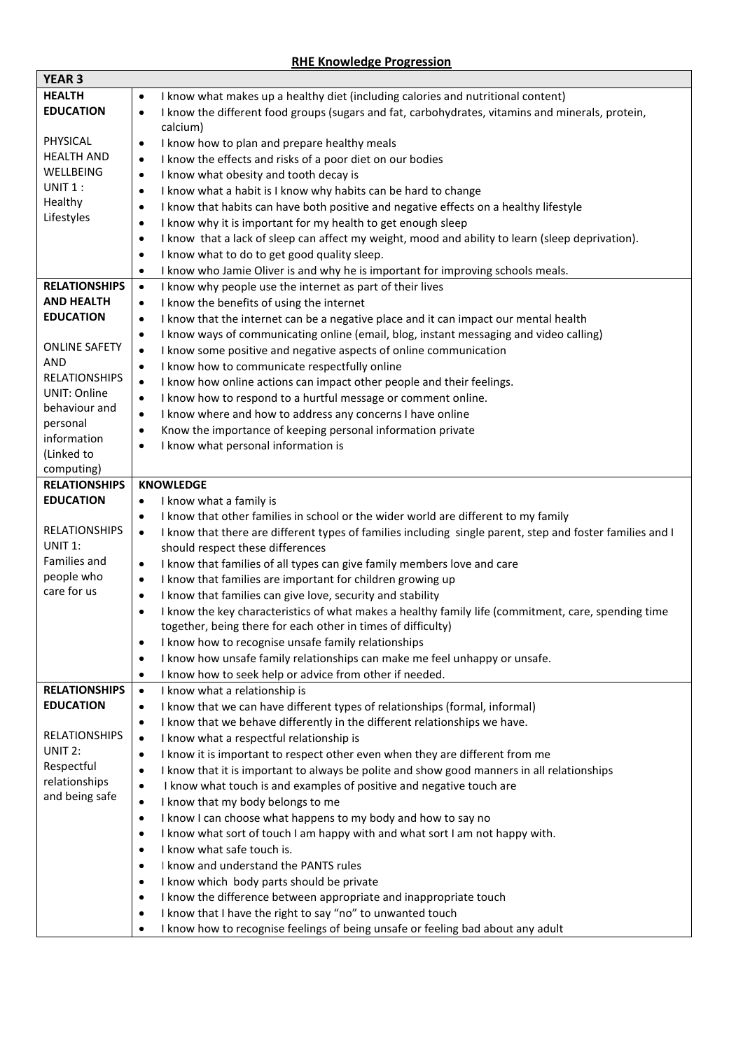## **RHE Knowledge Progression**

 $\overline{\phantom{0}}$ 

 $\mathbf{r}$ 

| <b>YEAR 3</b>             |                                                                                                                        |
|---------------------------|------------------------------------------------------------------------------------------------------------------------|
| <b>HEALTH</b>             | I know what makes up a healthy diet (including calories and nutritional content)<br>$\bullet$                          |
| <b>EDUCATION</b>          | I know the different food groups (sugars and fat, carbohydrates, vitamins and minerals, protein,<br>$\bullet$          |
|                           | calcium)                                                                                                               |
| PHYSICAL                  | I know how to plan and prepare healthy meals<br>$\bullet$                                                              |
| <b>HEALTH AND</b>         | I know the effects and risks of a poor diet on our bodies<br>$\bullet$                                                 |
| WELLBEING                 | I know what obesity and tooth decay is<br>$\bullet$                                                                    |
| UNIT 1:                   | I know what a habit is I know why habits can be hard to change<br>$\bullet$                                            |
| Healthy                   | I know that habits can have both positive and negative effects on a healthy lifestyle<br>$\bullet$                     |
| Lifestyles                | I know why it is important for my health to get enough sleep<br>$\bullet$                                              |
|                           | I know that a lack of sleep can affect my weight, mood and ability to learn (sleep deprivation).<br>$\bullet$          |
|                           | I know what to do to get good quality sleep.<br>$\bullet$                                                              |
|                           | I know who Jamie Oliver is and why he is important for improving schools meals.<br>$\bullet$                           |
| <b>RELATIONSHIPS</b>      | I know why people use the internet as part of their lives<br>$\bullet$                                                 |
| <b>AND HEALTH</b>         | I know the benefits of using the internet<br>$\bullet$                                                                 |
| <b>EDUCATION</b>          | I know that the internet can be a negative place and it can impact our mental health<br>$\bullet$                      |
|                           | I know ways of communicating online (email, blog, instant messaging and video calling)<br>٠                            |
| <b>ONLINE SAFETY</b>      | I know some positive and negative aspects of online communication<br>$\bullet$                                         |
| <b>AND</b>                | I know how to communicate respectfully online<br>$\bullet$                                                             |
| <b>RELATIONSHIPS</b>      | I know how online actions can impact other people and their feelings.<br>$\bullet$                                     |
| <b>UNIT: Online</b>       | I know how to respond to a hurtful message or comment online.<br>$\bullet$                                             |
| behaviour and             | I know where and how to address any concerns I have online<br>$\bullet$                                                |
| personal                  | Know the importance of keeping personal information private<br>$\bullet$                                               |
| information               | I know what personal information is<br>$\bullet$                                                                       |
| (Linked to                |                                                                                                                        |
| computing)                |                                                                                                                        |
| <b>RELATIONSHIPS</b>      | <b>KNOWLEDGE</b>                                                                                                       |
| <b>EDUCATION</b>          | I know what a family is<br>$\bullet$                                                                                   |
|                           | I know that other families in school or the wider world are different to my family<br>٠                                |
| <b>RELATIONSHIPS</b>      | I know that there are different types of families including single parent, step and foster families and I<br>$\bullet$ |
| UNIT 1:                   | should respect these differences                                                                                       |
| Families and              | I know that families of all types can give family members love and care<br>$\bullet$                                   |
| people who<br>care for us | I know that families are important for children growing up<br>$\bullet$                                                |
|                           |                                                                                                                        |
|                           | I know that families can give love, security and stability<br>$\bullet$                                                |
|                           | I know the key characteristics of what makes a healthy family life (commitment, care, spending time<br>٠               |
|                           | together, being there for each other in times of difficulty)                                                           |
|                           | I know how to recognise unsafe family relationships<br>٠                                                               |
|                           | I know how unsafe family relationships can make me feel unhappy or unsafe.<br>$\bullet$                                |
|                           | I know how to seek help or advice from other if needed.<br>٠                                                           |
| <b>RELATIONSHIPS</b>      | I know what a relationship is<br>$\bullet$                                                                             |
| <b>EDUCATION</b>          | I know that we can have different types of relationships (formal, informal)<br>٠                                       |
|                           | I know that we behave differently in the different relationships we have.<br>٠                                         |
| <b>RELATIONSHIPS</b>      | I know what a respectful relationship is<br>$\bullet$                                                                  |
| UNIT 2:                   | I know it is important to respect other even when they are different from me<br>٠                                      |
| Respectful                | I know that it is important to always be polite and show good manners in all relationships<br>$\bullet$                |
| relationships             | I know what touch is and examples of positive and negative touch are<br>$\bullet$                                      |
| and being safe            | I know that my body belongs to me<br>$\bullet$                                                                         |
|                           | I know I can choose what happens to my body and how to say no<br>$\bullet$                                             |
|                           | I know what sort of touch I am happy with and what sort I am not happy with.<br>$\bullet$                              |
|                           | I know what safe touch is.<br>$\bullet$                                                                                |
|                           | I know and understand the PANTS rules<br>٠                                                                             |
|                           | I know which body parts should be private<br>٠                                                                         |
|                           | I know the difference between appropriate and inappropriate touch<br>٠                                                 |
|                           | I know that I have the right to say "no" to unwanted touch<br>$\bullet$                                                |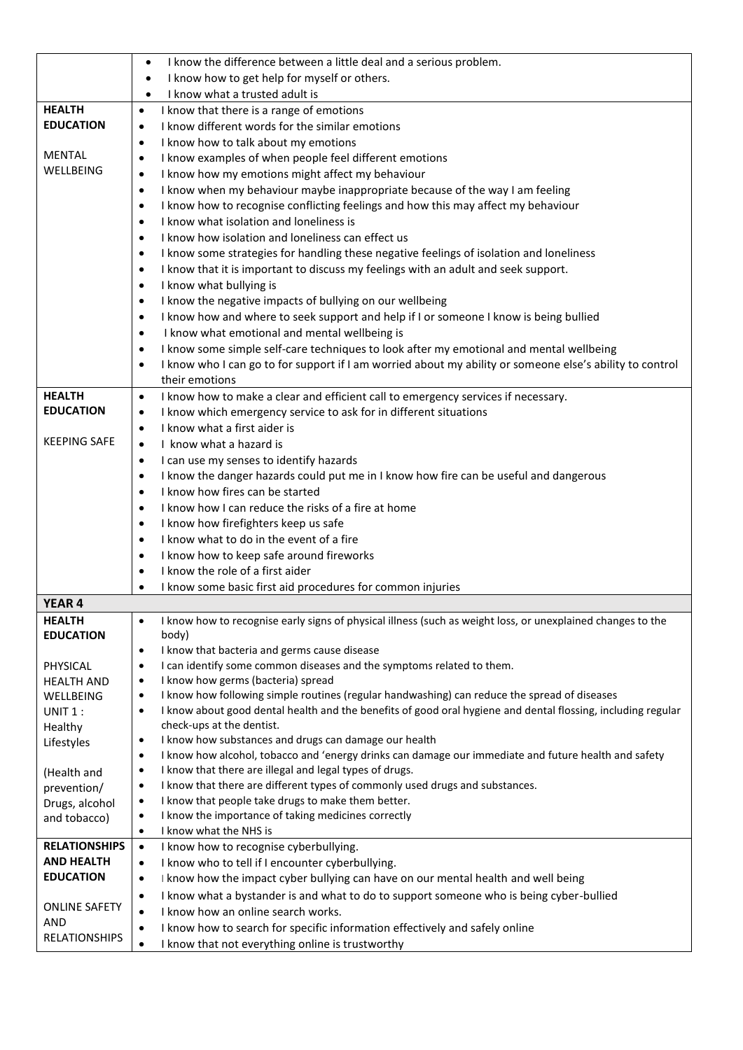|                            | I know the difference between a little deal and a serious problem.<br>$\bullet$                                                                                         |
|----------------------------|-------------------------------------------------------------------------------------------------------------------------------------------------------------------------|
|                            | I know how to get help for myself or others.<br>$\bullet$                                                                                                               |
|                            | I know what a trusted adult is<br>$\bullet$                                                                                                                             |
| <b>HEALTH</b>              | I know that there is a range of emotions<br>$\bullet$                                                                                                                   |
| <b>EDUCATION</b>           | I know different words for the similar emotions<br>٠                                                                                                                    |
|                            | I know how to talk about my emotions<br>٠                                                                                                                               |
| <b>MENTAL</b>              | I know examples of when people feel different emotions<br>٠                                                                                                             |
| WELLBEING                  | I know how my emotions might affect my behaviour<br>$\bullet$                                                                                                           |
|                            | I know when my behaviour maybe inappropriate because of the way I am feeling<br>٠                                                                                       |
|                            | I know how to recognise conflicting feelings and how this may affect my behaviour<br>$\bullet$                                                                          |
|                            | I know what isolation and loneliness is<br>$\bullet$                                                                                                                    |
|                            | I know how isolation and loneliness can effect us<br>٠                                                                                                                  |
|                            | I know some strategies for handling these negative feelings of isolation and loneliness<br>٠                                                                            |
|                            | I know that it is important to discuss my feelings with an adult and seek support.<br>٠                                                                                 |
|                            | I know what bullying is<br>٠                                                                                                                                            |
|                            | I know the negative impacts of bullying on our wellbeing<br>$\bullet$                                                                                                   |
|                            | I know how and where to seek support and help if I or someone I know is being bullied<br>$\bullet$                                                                      |
|                            | I know what emotional and mental wellbeing is<br>$\bullet$                                                                                                              |
|                            | I know some simple self-care techniques to look after my emotional and mental wellbeing<br>٠                                                                            |
|                            | I know who I can go to for support if I am worried about my ability or someone else's ability to control<br>$\bullet$                                                   |
|                            | their emotions                                                                                                                                                          |
| <b>HEALTH</b>              | I know how to make a clear and efficient call to emergency services if necessary.<br>$\bullet$                                                                          |
| <b>EDUCATION</b>           | I know which emergency service to ask for in different situations<br>٠                                                                                                  |
|                            | I know what a first aider is<br>٠                                                                                                                                       |
| <b>KEEPING SAFE</b>        | I know what a hazard is<br>$\bullet$                                                                                                                                    |
|                            | I can use my senses to identify hazards<br>$\bullet$                                                                                                                    |
|                            | I know the danger hazards could put me in I know how fire can be useful and dangerous<br>٠                                                                              |
|                            | I know how fires can be started<br>$\bullet$                                                                                                                            |
|                            | I know how I can reduce the risks of a fire at home<br>$\bullet$                                                                                                        |
|                            | I know how firefighters keep us safe<br>٠                                                                                                                               |
|                            | I know what to do in the event of a fire<br>٠                                                                                                                           |
|                            | I know how to keep safe around fireworks<br>٠                                                                                                                           |
|                            | I know the role of a first aider<br>٠                                                                                                                                   |
|                            | I know some basic first aid procedures for common injuries<br>٠                                                                                                         |
| <b>YEAR 4</b>              |                                                                                                                                                                         |
| <b>HEALTH</b>              | I know how to recognise early signs of physical illness (such as weight loss, or unexplained changes to the<br>$\bullet$                                                |
| <b>EDUCATION</b>           | body)                                                                                                                                                                   |
|                            | I know that bacteria and germs cause disease<br>$\bullet$                                                                                                               |
| PHYSICAL                   | I can identify some common diseases and the symptoms related to them.<br>٠                                                                                              |
| <b>HEALTH AND</b>          | I know how germs (bacteria) spread<br>٠                                                                                                                                 |
| WELLBEING                  | I know how following simple routines (regular handwashing) can reduce the spread of diseases<br>$\bullet$                                                               |
| UNIT 1:                    | I know about good dental health and the benefits of good oral hygiene and dental flossing, including regular<br>$\bullet$                                               |
| Healthy                    | check-ups at the dentist.                                                                                                                                               |
| Lifestyles                 | I know how substances and drugs can damage our health<br>٠<br>I know how alcohol, tobacco and 'energy drinks can damage our immediate and future health and safety<br>٠ |
|                            | I know that there are illegal and legal types of drugs.<br>٠                                                                                                            |
| (Health and<br>prevention/ | I know that there are different types of commonly used drugs and substances.<br>$\bullet$                                                                               |
| Drugs, alcohol             | I know that people take drugs to make them better.<br>$\bullet$                                                                                                         |
| and tobacco)               | I know the importance of taking medicines correctly<br>٠                                                                                                                |
|                            | I know what the NHS is<br>$\bullet$                                                                                                                                     |
| <b>RELATIONSHIPS</b>       | I know how to recognise cyberbullying.<br>$\bullet$                                                                                                                     |
| <b>AND HEALTH</b>          | I know who to tell if I encounter cyberbullying.<br>٠                                                                                                                   |
| <b>EDUCATION</b>           | I know how the impact cyber bullying can have on our mental health and well being<br>$\bullet$                                                                          |
|                            | I know what a bystander is and what to do to support someone who is being cyber-bullied<br>٠                                                                            |
| <b>ONLINE SAFETY</b>       | I know how an online search works.<br>$\bullet$                                                                                                                         |
| <b>AND</b>                 | I know how to search for specific information effectively and safely online<br>٠                                                                                        |
| <b>RELATIONSHIPS</b>       | I know that not everything online is trustworthy<br>$\bullet$                                                                                                           |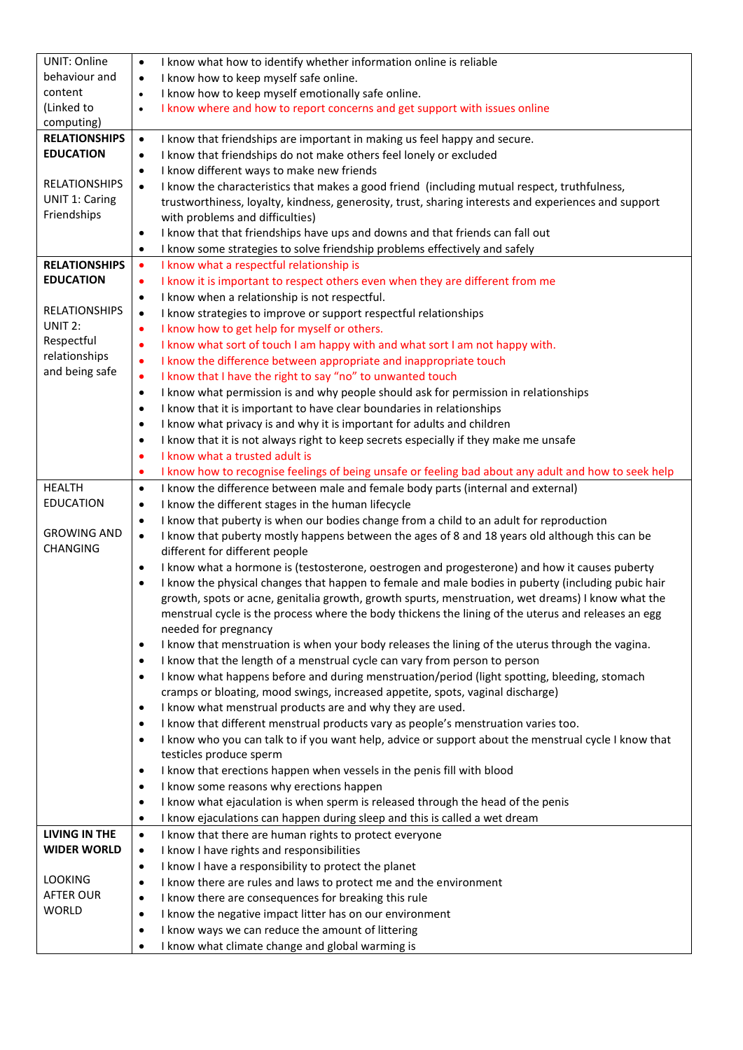| <b>UNIT: Online</b>   | I know what how to identify whether information online is reliable<br>$\bullet$                                                                                                               |
|-----------------------|-----------------------------------------------------------------------------------------------------------------------------------------------------------------------------------------------|
| behaviour and         | I know how to keep myself safe online.<br>$\bullet$                                                                                                                                           |
| content               | I know how to keep myself emotionally safe online.<br>$\bullet$                                                                                                                               |
| (Linked to            | I know where and how to report concerns and get support with issues online<br>$\bullet$                                                                                                       |
| computing)            |                                                                                                                                                                                               |
| <b>RELATIONSHIPS</b>  | I know that friendships are important in making us feel happy and secure.<br>$\bullet$                                                                                                        |
| <b>EDUCATION</b>      | I know that friendships do not make others feel lonely or excluded<br>$\bullet$                                                                                                               |
|                       | I know different ways to make new friends<br>$\bullet$                                                                                                                                        |
| <b>RELATIONSHIPS</b>  | I know the characteristics that makes a good friend (including mutual respect, truthfulness,<br>$\bullet$                                                                                     |
| <b>UNIT 1: Caring</b> | trustworthiness, loyalty, kindness, generosity, trust, sharing interests and experiences and support                                                                                          |
| Friendships           | with problems and difficulties)                                                                                                                                                               |
|                       | I know that that friendships have ups and downs and that friends can fall out<br>$\bullet$                                                                                                    |
|                       | I know some strategies to solve friendship problems effectively and safely<br>$\bullet$                                                                                                       |
| <b>RELATIONSHIPS</b>  | I know what a respectful relationship is<br>$\bullet$                                                                                                                                         |
| <b>EDUCATION</b>      | I know it is important to respect others even when they are different from me<br>$\bullet$                                                                                                    |
| <b>RELATIONSHIPS</b>  | I know when a relationship is not respectful.<br>$\bullet$                                                                                                                                    |
| UNIT 2:               | I know strategies to improve or support respectful relationships<br>$\bullet$                                                                                                                 |
| Respectful            | I know how to get help for myself or others.<br>$\bullet$                                                                                                                                     |
| relationships         | I know what sort of touch I am happy with and what sort I am not happy with.<br>$\bullet$                                                                                                     |
| and being safe        | I know the difference between appropriate and inappropriate touch<br>$\bullet$                                                                                                                |
|                       | I know that I have the right to say "no" to unwanted touch<br>$\bullet$                                                                                                                       |
|                       | I know what permission is and why people should ask for permission in relationships<br>$\bullet$                                                                                              |
|                       | I know that it is important to have clear boundaries in relationships<br>$\bullet$                                                                                                            |
|                       | I know what privacy is and why it is important for adults and children<br>$\bullet$                                                                                                           |
|                       | I know that it is not always right to keep secrets especially if they make me unsafe<br>$\bullet$<br>I know what a trusted adult is                                                           |
|                       | ٠                                                                                                                                                                                             |
| <b>HEALTH</b>         | I know how to recognise feelings of being unsafe or feeling bad about any adult and how to seek help<br>٠<br>I know the difference between male and female body parts (internal and external) |
| <b>EDUCATION</b>      | $\bullet$<br>I know the different stages in the human lifecycle<br>$\bullet$                                                                                                                  |
|                       | I know that puberty is when our bodies change from a child to an adult for reproduction<br>$\bullet$                                                                                          |
| <b>GROWING AND</b>    | I know that puberty mostly happens between the ages of 8 and 18 years old although this can be<br>$\bullet$                                                                                   |
| <b>CHANGING</b>       | different for different people                                                                                                                                                                |
|                       | I know what a hormone is (testosterone, oestrogen and progesterone) and how it causes puberty<br>$\bullet$                                                                                    |
|                       | I know the physical changes that happen to female and male bodies in puberty (including pubic hair<br>$\bullet$                                                                               |
|                       | growth, spots or acne, genitalia growth, growth spurts, menstruation, wet dreams) I know what the                                                                                             |
|                       | menstrual cycle is the process where the body thickens the lining of the uterus and releases an egg                                                                                           |
|                       | needed for pregnancy                                                                                                                                                                          |
|                       | I know that menstruation is when your body releases the lining of the uterus through the vagina.<br>$\bullet$                                                                                 |
|                       | I know that the length of a menstrual cycle can vary from person to person<br>$\bullet$                                                                                                       |
|                       | I know what happens before and during menstruation/period (light spotting, bleeding, stomach<br>$\bullet$                                                                                     |
|                       | cramps or bloating, mood swings, increased appetite, spots, vaginal discharge)                                                                                                                |
|                       | I know what menstrual products are and why they are used.<br>$\bullet$                                                                                                                        |
|                       | I know that different menstrual products vary as people's menstruation varies too.<br>$\bullet$                                                                                               |
|                       | I know who you can talk to if you want help, advice or support about the menstrual cycle I know that<br>$\bullet$                                                                             |
|                       | testicles produce sperm                                                                                                                                                                       |
|                       | I know that erections happen when vessels in the penis fill with blood<br>$\bullet$                                                                                                           |
|                       | I know some reasons why erections happen<br>$\bullet$                                                                                                                                         |
|                       | I know what ejaculation is when sperm is released through the head of the penis<br>$\bullet$                                                                                                  |
|                       | I know ejaculations can happen during sleep and this is called a wet dream<br>$\bullet$                                                                                                       |
| <b>LIVING IN THE</b>  | I know that there are human rights to protect everyone<br>$\bullet$                                                                                                                           |
| <b>WIDER WORLD</b>    | I know I have rights and responsibilities<br>$\bullet$                                                                                                                                        |
| <b>LOOKING</b>        | I know I have a responsibility to protect the planet<br>$\bullet$                                                                                                                             |
| <b>AFTER OUR</b>      | I know there are rules and laws to protect me and the environment<br>$\bullet$                                                                                                                |
| <b>WORLD</b>          | I know there are consequences for breaking this rule<br>$\bullet$                                                                                                                             |
|                       | I know the negative impact litter has on our environment<br>$\bullet$                                                                                                                         |
|                       | I know ways we can reduce the amount of littering<br>$\bullet$                                                                                                                                |
|                       | I know what climate change and global warming is<br>$\bullet$                                                                                                                                 |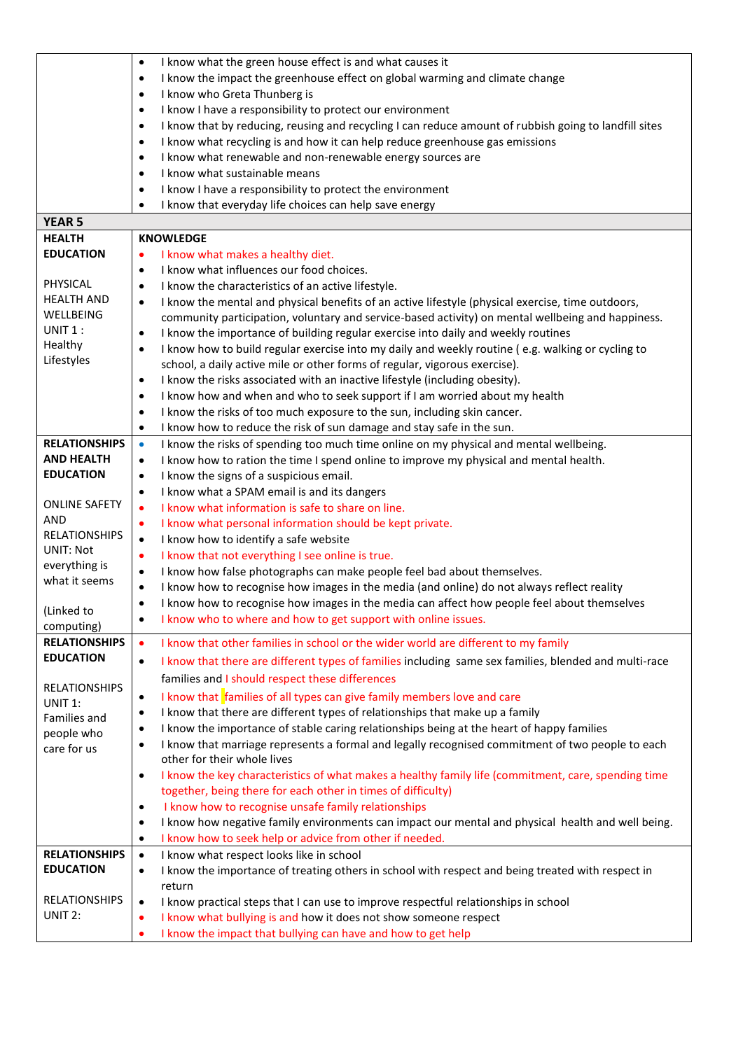|                                 | I know what the green house effect is and what causes it<br>$\bullet$                                              |
|---------------------------------|--------------------------------------------------------------------------------------------------------------------|
|                                 | I know the impact the greenhouse effect on global warming and climate change<br>$\bullet$                          |
|                                 | I know who Greta Thunberg is<br>$\bullet$                                                                          |
|                                 | I know I have a responsibility to protect our environment<br>$\bullet$                                             |
|                                 | I know that by reducing, reusing and recycling I can reduce amount of rubbish going to landfill sites<br>$\bullet$ |
|                                 | I know what recycling is and how it can help reduce greenhouse gas emissions<br>$\bullet$                          |
|                                 | I know what renewable and non-renewable energy sources are<br>$\bullet$                                            |
|                                 | I know what sustainable means<br>$\bullet$                                                                         |
|                                 | I know I have a responsibility to protect the environment<br>$\bullet$                                             |
|                                 | I know that everyday life choices can help save energy<br>$\bullet$                                                |
| <b>YEAR 5</b>                   |                                                                                                                    |
| <b>HEALTH</b>                   | <b>KNOWLEDGE</b>                                                                                                   |
| <b>EDUCATION</b>                | I know what makes a healthy diet.<br>$\bullet$                                                                     |
|                                 | I know what influences our food choices.<br>$\bullet$                                                              |
| PHYSICAL                        | I know the characteristics of an active lifestyle.<br>$\bullet$                                                    |
| <b>HEALTH AND</b>               | I know the mental and physical benefits of an active lifestyle (physical exercise, time outdoors,<br>$\bullet$     |
| WELLBEING                       | community participation, voluntary and service-based activity) on mental wellbeing and happiness.                  |
| $UNIT1$ :                       | I know the importance of building regular exercise into daily and weekly routines<br>$\bullet$                     |
| Healthy                         | I know how to build regular exercise into my daily and weekly routine (e.g. walking or cycling to<br>$\bullet$     |
| Lifestyles                      | school, a daily active mile or other forms of regular, vigorous exercise).                                         |
|                                 | I know the risks associated with an inactive lifestyle (including obesity).<br>$\bullet$                           |
|                                 | I know how and when and who to seek support if I am worried about my health<br>$\bullet$                           |
|                                 | I know the risks of too much exposure to the sun, including skin cancer.<br>$\bullet$                              |
|                                 | I know how to reduce the risk of sun damage and stay safe in the sun.<br>$\bullet$                                 |
| <b>RELATIONSHIPS</b>            | I know the risks of spending too much time online on my physical and mental wellbeing.<br>$\bullet$                |
| <b>AND HEALTH</b>               | I know how to ration the time I spend online to improve my physical and mental health.<br>$\bullet$                |
| <b>EDUCATION</b>                | I know the signs of a suspicious email.<br>$\bullet$                                                               |
|                                 | I know what a SPAM email is and its dangers<br>$\bullet$                                                           |
| <b>ONLINE SAFETY</b>            | I know what information is safe to share on line.<br>$\bullet$                                                     |
| <b>AND</b>                      | I know what personal information should be kept private.<br>$\bullet$                                              |
| <b>RELATIONSHIPS</b>            | I know how to identify a safe website<br>$\bullet$                                                                 |
| <b>UNIT: Not</b>                | I know that not everything I see online is true.<br>$\bullet$                                                      |
| everything is                   | I know how false photographs can make people feel bad about themselves.<br>$\bullet$                               |
| what it seems                   | I know how to recognise how images in the media (and online) do not always reflect reality<br>$\bullet$            |
|                                 | I know how to recognise how images in the media can affect how people feel about themselves<br>$\bullet$           |
| (Linked to                      | I know who to where and how to get support with online issues.<br>٠                                                |
| computing)                      |                                                                                                                    |
| <b>RELATIONSHIPS</b>            | I know that other families in school or the wider world are different to my family<br>$\bullet$                    |
| <b>EDUCATION</b>                | I know that there are different types of families including same sex families, blended and multi-race<br>$\bullet$ |
|                                 | families and I should respect these differences                                                                    |
| <b>RELATIONSHIPS</b><br>UNIT 1: | I know that families of all types can give family members love and care<br>$\bullet$                               |
| Families and                    | I know that there are different types of relationships that make up a family<br>$\bullet$                          |
| people who                      | I know the importance of stable caring relationships being at the heart of happy families<br>$\bullet$             |
| care for us                     | I know that marriage represents a formal and legally recognised commitment of two people to each<br>$\bullet$      |
|                                 | other for their whole lives                                                                                        |
|                                 | I know the key characteristics of what makes a healthy family life (commitment, care, spending time<br>$\bullet$   |
|                                 | together, being there for each other in times of difficulty)                                                       |
|                                 | I know how to recognise unsafe family relationships<br>$\bullet$                                                   |
|                                 | I know how negative family environments can impact our mental and physical health and well being.<br>$\bullet$     |
|                                 | I know how to seek help or advice from other if needed.<br>$\bullet$                                               |
| <b>RELATIONSHIPS</b>            | I know what respect looks like in school<br>$\bullet$                                                              |
| <b>EDUCATION</b>                | I know the importance of treating others in school with respect and being treated with respect in<br>$\bullet$     |
|                                 | return                                                                                                             |
| <b>RELATIONSHIPS</b>            | I know practical steps that I can use to improve respectful relationships in school<br>$\bullet$                   |
| UNIT 2:                         | I know what bullying is and how it does not show someone respect<br>٠                                              |
|                                 | I know the impact that bullying can have and how to get help<br>٠                                                  |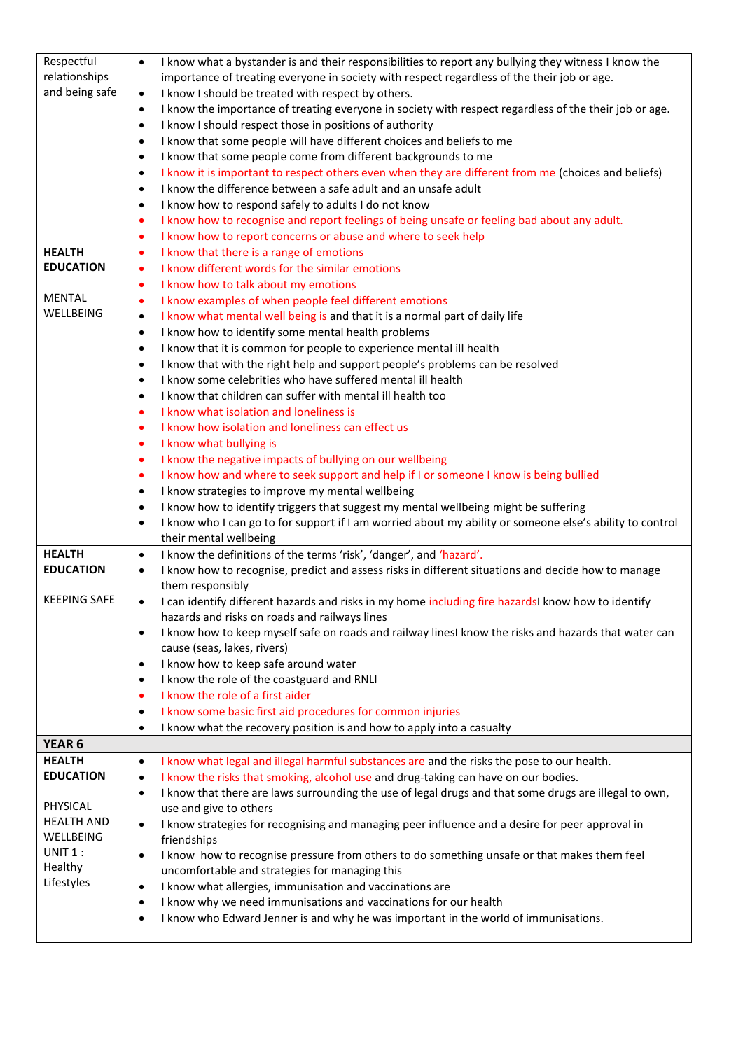| Respectful          | I know what a bystander is and their responsibilities to report any bullying they witness I know the<br>$\bullet$                                              |
|---------------------|----------------------------------------------------------------------------------------------------------------------------------------------------------------|
| relationships       | importance of treating everyone in society with respect regardless of the their job or age.                                                                    |
| and being safe      | I know I should be treated with respect by others.<br>$\bullet$                                                                                                |
|                     | I know the importance of treating everyone in society with respect regardless of the their job or age.<br>$\bullet$                                            |
|                     | I know I should respect those in positions of authority<br>٠                                                                                                   |
|                     | I know that some people will have different choices and beliefs to me<br>$\bullet$                                                                             |
|                     | I know that some people come from different backgrounds to me<br>$\bullet$                                                                                     |
|                     | I know it is important to respect others even when they are different from me (choices and beliefs)<br>$\bullet$                                               |
|                     | I know the difference between a safe adult and an unsafe adult<br>$\bullet$                                                                                    |
|                     | I know how to respond safely to adults I do not know<br>$\bullet$                                                                                              |
|                     | I know how to recognise and report feelings of being unsafe or feeling bad about any adult.<br>$\bullet$                                                       |
| <b>HEALTH</b>       | I know how to report concerns or abuse and where to seek help<br>٠                                                                                             |
| <b>EDUCATION</b>    | I know that there is a range of emotions<br>$\bullet$                                                                                                          |
|                     | I know different words for the similar emotions<br>$\bullet$                                                                                                   |
| <b>MENTAL</b>       | I know how to talk about my emotions<br>$\bullet$                                                                                                              |
| WELLBEING           | I know examples of when people feel different emotions<br>$\bullet$                                                                                            |
|                     | I know what mental well being is and that it is a normal part of daily life<br>$\bullet$<br>I know how to identify some mental health problems<br>$\bullet$    |
|                     | I know that it is common for people to experience mental ill health<br>$\bullet$                                                                               |
|                     |                                                                                                                                                                |
|                     | I know that with the right help and support people's problems can be resolved<br>٠<br>I know some celebrities who have suffered mental ill health<br>$\bullet$ |
|                     | I know that children can suffer with mental ill health too                                                                                                     |
|                     | $\bullet$<br>I know what isolation and loneliness is<br>٠                                                                                                      |
|                     | I know how isolation and loneliness can effect us<br>٠                                                                                                         |
|                     | I know what bullying is<br>$\bullet$                                                                                                                           |
|                     | I know the negative impacts of bullying on our wellbeing<br>$\bullet$                                                                                          |
|                     | I know how and where to seek support and help if I or someone I know is being bullied<br>$\bullet$                                                             |
|                     | I know strategies to improve my mental wellbeing<br>٠                                                                                                          |
|                     | I know how to identify triggers that suggest my mental wellbeing might be suffering<br>$\bullet$                                                               |
|                     | I know who I can go to for support if I am worried about my ability or someone else's ability to control<br>$\bullet$                                          |
|                     | their mental wellbeing                                                                                                                                         |
| <b>HEALTH</b>       | I know the definitions of the terms 'risk', 'danger', and 'hazard'.<br>$\bullet$                                                                               |
| <b>EDUCATION</b>    | I know how to recognise, predict and assess risks in different situations and decide how to manage<br>$\bullet$                                                |
|                     | them responsibly                                                                                                                                               |
| <b>KEEPING SAFE</b> | I can identify different hazards and risks in my home including fire hazardsI know how to identify<br>$\bullet$                                                |
|                     | hazards and risks on roads and railways lines                                                                                                                  |
|                     | I know how to keep myself safe on roads and railway linesI know the risks and hazards that water can<br>٠                                                      |
|                     | cause (seas, lakes, rivers)                                                                                                                                    |
|                     | I know how to keep safe around water<br>$\bullet$                                                                                                              |
|                     | I know the role of the coastguard and RNLI<br>٠                                                                                                                |
|                     | I know the role of a first aider<br>$\bullet$                                                                                                                  |
|                     | I know some basic first aid procedures for common injuries<br>٠                                                                                                |
|                     | I know what the recovery position is and how to apply into a casualty<br>٠                                                                                     |
| YEAR <sub>6</sub>   |                                                                                                                                                                |
| <b>HEALTH</b>       | I know what legal and illegal harmful substances are and the risks the pose to our health.<br>$\bullet$                                                        |
| <b>EDUCATION</b>    | I know the risks that smoking, alcohol use and drug-taking can have on our bodies.<br>$\bullet$                                                                |
| PHYSICAL            | I know that there are laws surrounding the use of legal drugs and that some drugs are illegal to own,<br>$\bullet$                                             |
| <b>HEALTH AND</b>   | use and give to others                                                                                                                                         |
| WELLBEING           | I know strategies for recognising and managing peer influence and a desire for peer approval in<br>$\bullet$<br>friendships                                    |
| UNIT 1:             | I know how to recognise pressure from others to do something unsafe or that makes them feel<br>$\bullet$                                                       |
| Healthy             | uncomfortable and strategies for managing this                                                                                                                 |
| Lifestyles          | I know what allergies, immunisation and vaccinations are<br>$\bullet$                                                                                          |
|                     | I know why we need immunisations and vaccinations for our health<br>٠                                                                                          |
|                     | I know who Edward Jenner is and why he was important in the world of immunisations.<br>٠                                                                       |
|                     |                                                                                                                                                                |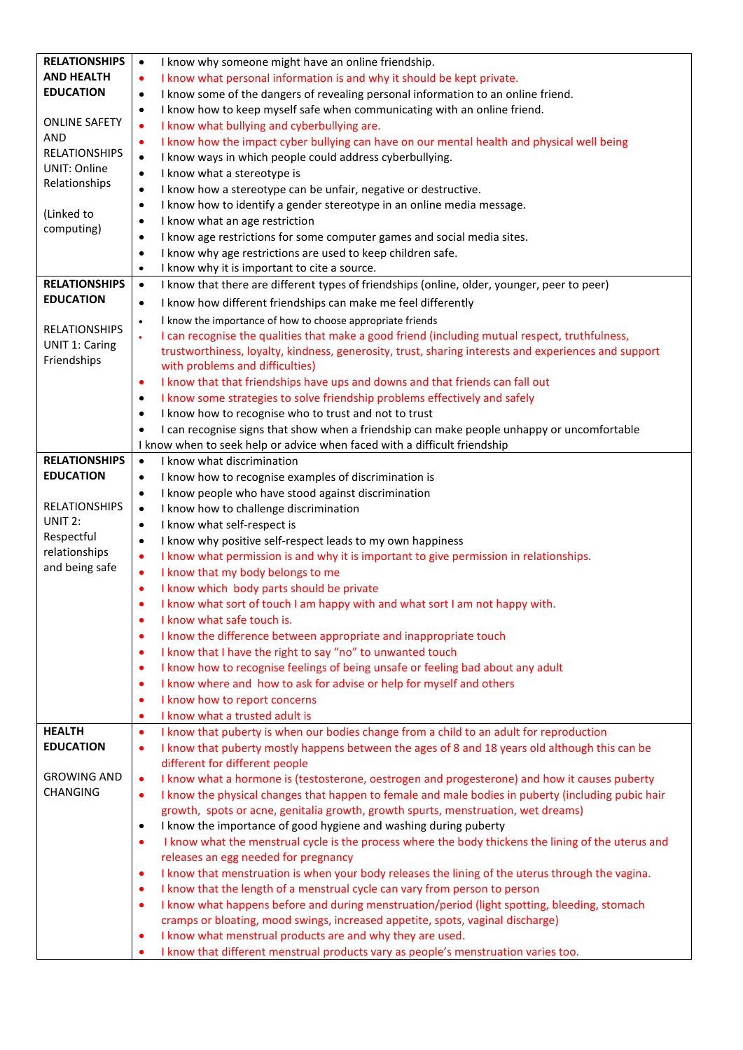| <b>RELATIONSHIPS</b>        | I know why someone might have an online friendship.<br>$\bullet$                                                                                           |
|-----------------------------|------------------------------------------------------------------------------------------------------------------------------------------------------------|
| <b>AND HEALTH</b>           | I know what personal information is and why it should be kept private.<br>$\bullet$                                                                        |
| <b>EDUCATION</b>            | I know some of the dangers of revealing personal information to an online friend.<br>$\bullet$                                                             |
|                             | I know how to keep myself safe when communicating with an online friend.<br>٠                                                                              |
| <b>ONLINE SAFETY</b>        | I know what bullying and cyberbullying are.<br>$\bullet$                                                                                                   |
| AND                         | I know how the impact cyber bullying can have on our mental health and physical well being<br>٠                                                            |
| <b>RELATIONSHIPS</b>        | I know ways in which people could address cyberbullying.<br>$\bullet$                                                                                      |
| <b>UNIT: Online</b>         | I know what a stereotype is<br>$\bullet$                                                                                                                   |
| Relationships               | I know how a stereotype can be unfair, negative or destructive.<br>$\bullet$                                                                               |
|                             | I know how to identify a gender stereotype in an online media message.<br>$\bullet$                                                                        |
| (Linked to                  | I know what an age restriction<br>$\bullet$                                                                                                                |
| computing)                  | I know age restrictions for some computer games and social media sites.<br>٠                                                                               |
|                             | I know why age restrictions are used to keep children safe.<br>$\bullet$                                                                                   |
|                             | I know why it is important to cite a source.<br>$\bullet$                                                                                                  |
| <b>RELATIONSHIPS</b>        | I know that there are different types of friendships (online, older, younger, peer to peer)<br>$\bullet$                                                   |
| <b>EDUCATION</b>            | I know how different friendships can make me feel differently<br>$\bullet$                                                                                 |
|                             | I know the importance of how to choose appropriate friends<br>$\bullet$                                                                                    |
| <b>RELATIONSHIPS</b>        | I can recognise the qualities that make a good friend (including mutual respect, truthfulness,<br>$\bullet$                                                |
| <b>UNIT 1: Caring</b>       | trustworthiness, loyalty, kindness, generosity, trust, sharing interests and experiences and support                                                       |
| Friendships                 | with problems and difficulties)                                                                                                                            |
|                             | I know that that friendships have ups and downs and that friends can fall out<br>$\bullet$                                                                 |
|                             | I know some strategies to solve friendship problems effectively and safely<br>٠                                                                            |
|                             | I know how to recognise who to trust and not to trust<br>$\bullet$                                                                                         |
|                             | I can recognise signs that show when a friendship can make people unhappy or uncomfortable<br>$\bullet$                                                    |
|                             | I know when to seek help or advice when faced with a difficult friendship                                                                                  |
| <b>RELATIONSHIPS</b>        | I know what discrimination<br>$\bullet$                                                                                                                    |
| <b>EDUCATION</b>            | I know how to recognise examples of discrimination is<br>$\bullet$                                                                                         |
|                             | I know people who have stood against discrimination<br>$\bullet$                                                                                           |
| <b>RELATIONSHIPS</b>        | I know how to challenge discrimination<br>$\bullet$                                                                                                        |
| UNIT 2:                     | I know what self-respect is<br>$\bullet$                                                                                                                   |
| Respectful<br>relationships | I know why positive self-respect leads to my own happiness<br>$\bullet$                                                                                    |
| and being safe              | I know what permission is and why it is important to give permission in relationships.<br>$\bullet$                                                        |
|                             | I know that my body belongs to me<br>$\bullet$                                                                                                             |
|                             | I know which body parts should be private<br>٠                                                                                                             |
|                             | I know what sort of touch I am happy with and what sort I am not happy with.<br>٠                                                                          |
|                             | I know what safe touch is.<br>$\bullet$                                                                                                                    |
|                             | I know the difference between appropriate and inappropriate touch<br>٠                                                                                     |
|                             | I know that I have the right to say "no" to unwanted touch<br>$\bullet$<br>I know how to recognise feelings of being unsafe or feeling bad about any adult |
|                             | $\bullet$<br>I know where and how to ask for advise or help for myself and others<br>$\bullet$                                                             |
|                             | I know how to report concerns<br>٠                                                                                                                         |
|                             | I know what a trusted adult is<br>٠                                                                                                                        |
| <b>HEALTH</b>               | I know that puberty is when our bodies change from a child to an adult for reproduction<br>$\bullet$                                                       |
| <b>EDUCATION</b>            | I know that puberty mostly happens between the ages of 8 and 18 years old although this can be<br>$\bullet$                                                |
|                             | different for different people                                                                                                                             |
| <b>GROWING AND</b>          | I know what a hormone is (testosterone, oestrogen and progesterone) and how it causes puberty<br>$\bullet$                                                 |
| <b>CHANGING</b>             | I know the physical changes that happen to female and male bodies in puberty (including pubic hair<br>$\bullet$                                            |
|                             | growth, spots or acne, genitalia growth, growth spurts, menstruation, wet dreams)                                                                          |
|                             | I know the importance of good hygiene and washing during puberty<br>$\bullet$                                                                              |
|                             | I know what the menstrual cycle is the process where the body thickens the lining of the uterus and<br>$\bullet$                                           |
|                             | releases an egg needed for pregnancy                                                                                                                       |
|                             | I know that menstruation is when your body releases the lining of the uterus through the vagina.<br>٠                                                      |
|                             | I know that the length of a menstrual cycle can vary from person to person<br>٠                                                                            |
|                             | I know what happens before and during menstruation/period (light spotting, bleeding, stomach<br>٠                                                          |
|                             | cramps or bloating, mood swings, increased appetite, spots, vaginal discharge)                                                                             |
|                             | I know what menstrual products are and why they are used.<br>٠                                                                                             |
|                             | I know that different menstrual products vary as people's menstruation varies too.                                                                         |